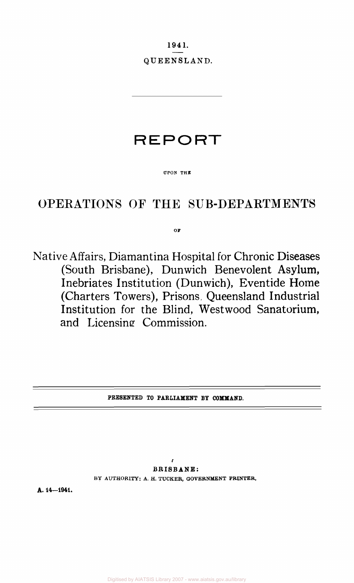1941.

QUEENSLAND.

# **REPORT**

### **UPON THE**

## OPERATIONS OF THE SUB-DEPARTMENTS

**OF** 

Native Affairs, Diamantina Hospital for Chronic Diseases (South Brisbane), Dunwich Benevolent Asylum, Inebriates Institution (Dunwich), Eventide Home (Charters Towers), Prisons, Queensland Industrial Institution for the Blind, Westwood Sanatorium, and Licensing Commission.

### **PRESENTED TO PARLIAMENT BY COMMAND.**

*r*  **BRISBANE: BY AUTHORITY: A. H. TUCKER, GOVERNMENT PRINTER.** 

**A. 14—1941.**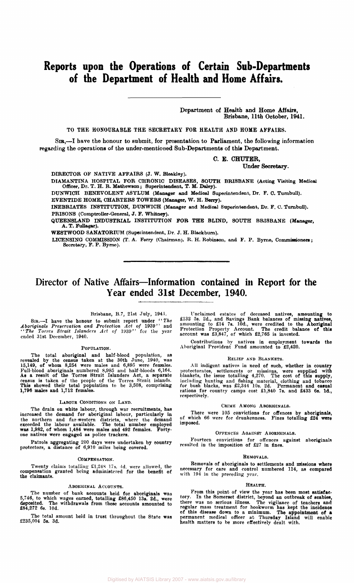## **Reports upon the Operations of Certain Sub-Departments of the Department of Health and Home Affairs.**

Department of Health and Home Affairs, Brisbane, 11th October, 1941.

TO THE HONOURABLE THE SECRETARY FOR HEALTH AND HOME AFFAIRS.

8m,—I have the honour to submit, for presentation to Parliament, the following information regarding the operations of the under-mentioned Sub-Departments of this Department.

> C. E. CHUTER, Under Seoretary.

DIRECTOR OF NATIVE AFFAIRS (J. W. Bleakley).

DIAMANTINA HOSPITAL FOR CHRONIC DISEASES, SOUTH BRISBANE (Acting Visiting Medical Officer, Dr. T. H. R. Mathewson; Superintendent, T. M. Daley).

DUNWICH BENEVOLENT ASYLUM (Manager and Medioal Superintendent, Dr. F. C. Tumbull).

EVENTIDE HOME, CHARTERS TOWERS (Manager, W. H. Berry).

INEBRIATES INSTITUTION, DUNWICH (Manager and Medical Superintendent, Dr. F. C. TurnbuU). PRISONS (Comptroller-General, J. F. Whitney).

QUEENSLAND INDUSTRIAL INSTITUTION FOR THE BLIND, SOUTH BRISBANE (Manager, A. T. Fullagar).

WESTWOOD SANATORIUM (Supeiintendent, Dr. J. H. Blackburn).

LICENSING COMMISSION (T. A. Ferry (Chairman), R. H. Robinson, and F. P. Byrne, Commissioners; Secretary, F. P. Byrne).

## Director of Native Affairs—Information contained in Report for the Year ended 31st December, 1940.

### Brisbane, B.7, 21st July, 1941.

SIR.—I have the honour to submit report under ' ' *The Aboriginals Preservation and Protection Act of* 1939 " and *•'The Torres Strait Islanders Act of* 1939" for the year ended 31st December, 1940.

#### POPULATION.

The total aboriginal and half-blood population, as<br>revealed by the census taken at the 30th June, 1940, was<br>15,149, of whom 8,254 were males and 6,895 were females.<br>Full-blood aboriginals numbered 8,985 and half-bloods 6,

#### LABOUR CONDITIONS ON LAND.

The drain on white labour, through war recruitments, has<br>increased the demand for aboriginal labour, particularly in<br>the northern and far-western districts, where the demand<br>exceeded the labour available. The total number

Patrols aggregating 200 days were undertaken by country protectors, a distance of 6,910 miles being covered.

#### COMPENSATION.

Twenty claims totalling £1,24S 17s. 4d. were allowed, the compensation granted being administered for the benefit of the claimants.

#### ABORIGINAL ACCOUNTS.

The number of bank accounts held for aboriginals was<br>5,746, to which wages earned, totalling £86,450 13s. 2d., were<br>deposited. The withdrawals from these accounts amounted to<br>£84,272 6s. 10d.

The total amount held in trust throughout the State was £235,004 5s. 3d.

Unclaimed estates of deceased natives, amounting to<br>
£132 5s. 2d., and Savings Bank balances of missing natives,<br>
amounting to £14 7s. 10d., were credited to the Aboriginal<br>
Protection Property Account. The credit balance

Contributions by natives in employment towards the Aboriginal Provident Fund amounted to £2,420.

#### RELIEF AND BLANKETS.

All indigent natives in need of such, whether in country protectorates, settlements or missions, were supplied with blankets, the issue totalling 4,270. The cost of this supply, including hunting and fishing material, clothing and tobacco for bush blacks, was £2,344 10s. 2d. Permanent and casual rations for country camps cost £1,840 7s. and £433 6s. Id., respectively.

#### CRIME AMONG ABORIGINALS.

There were 105 convictions for offences by aboriginals, of which 66 were for drunkenness. Fines totalling £24 were imposed.

#### OFFENCES AGAINST ABORIGINALS.

Fourteen convictions for offences against aboriginals resulted in the imposition of £27 in fines.

#### REMOVALS.

Removals of aboriginals to settlements and missions where necessary for care and control numbered 114, as compared with 194 in the preceding year.

#### HEALTH.

From this point of view the year has been most satisfactory. In the Somerset district, beyond an outbreak of scabies, there was no serious illness. The vigilance of teachers and regular mass treatment for hookworm has kept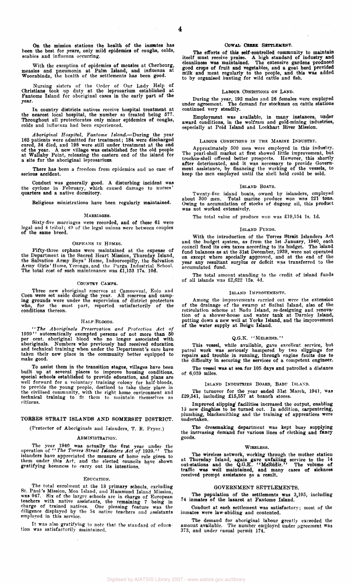$\sim 10^6$ 

On the mission stations the health of the inmates has been the best for years, only mild epidemics of coughs, colds, scabies and influenza occurring.

With the exception of epidemics of measles at Cherbourg, measles and pneumonia at Palm Island, and influenza at Woorabinda, the health of the settlements has been good.

Nursing sisters of the Order of Our Lady Help of Christians took up duly at the leprosarium established at Fantome Island for aboriginal cases in the early part of the year.

In country districts natives receive hospital treatment at the nearest local hospital, the number so treated being 577. Throughout all protectorates only minor epidemics of coughs, colds and influenza had been experienced.

Aboriginal Hospital, Fantome Island.—During the year 162 patients were admitted for treatment; 184 were discharged cured, 34 died, and 198 were still under treatment at the end of the year. A new village was established fo

There has been a freedom from epidemics and no case of serious accident.

Conduct was generally good. A disturbing incident was the cyclone in February, which caused damage to nurses' quarters and a native dormitory.

Religious ministrations have been regularly maintained.

#### MARRIAGES.

Sixty-five marriages were recorded, and of these 61 were legal and 4 tribal; 49 of the legal unions were between couples of the same breed.

#### ORPHANS IN HOMES.

Fifty-three orphans were maintained at the expense of<br>the Bepartment in the Sacred Heart Mission, Thursday Island,<br>the Salvation Army Boys' Home, Indooroopilly, the Salvation<br>Army Girls' Home, Yeronga, and the Purga Indust

#### COUNTRY CAMPS.

Three new aboriginal reserves at Camooweal, Eulo and<br>Coen were set aside during the year. All reserves and camp-<br>ing grounds were under the supervision of district protectors<br>who, for the most part, reported satisfactorily conditions thereon.

#### HAI.F-BLOODS.

"The Aboriginals Preservation and Protection Act of 1939" automatically exempted persons of not more than 50 per cent. aboriginal blood who no longer associated with aboriginals. Numbers who previously had received educat make good.

To assist them in the transition stages, villages have been built up at several places to improve housing conditions, special schools established to provide education, and plans are well forward for a voluntary training colony for half-bloods,<br>to provide the young people, destined to take their place in<br>the civilised community, with the right home environment and<br>technical training to fit them to main citizens.

#### TORRES STRAIT ISLANDS AND SOMERSET DISTRICT.

(Protector of Aboriginals and Islanders, T. E. Pryor.)

#### ADMINISTRATION.

The year 1940 was actually the first year under the operation of "The Torres Strait Islanders Act of 1939." The islanders have appreciated the measure of home rule given to them under this Act, and the elected councils hav

#### EDUCATION.

The total enrolment at the 13 primary schools, excluding<br>St. Paul's Mission, Moa Island, and Hammond Island Mission,<br>was 947. Six of the larger schools are in charge of European<br>teachers with native assistants, the remaini

It was also gratifying to note that the standard of educa-tion was satisfactorily maintained.

#### **COWAIi CREEK SETTLEMENT.**

The efforts of this self-controlled community to maintain<br>itself must receive praise. A high standard of industry and<br>cleanliness was maintained. The extensive gardens produced<br>good crops of fruit and vegetables, and a goa

#### LABOUR CONDITIONS ON LAND.

During the year, 192 males and 26 females were employed under agreement. The demand for stockmen on cattle stations continued very steadily.

Employment was available, in many instances, under award conditions, in the wolfram and gold-mining industries, especially at Poid Island and Loekhart River Mission.

#### LABOUR CONDITIONS IN THE MARINE INDUSTRY.

Approximately 500 men were employed in this industry. The pearl-shell market at first showed little improvement, but trochus-shell offered better prospects. However, this shortly after deteriorated, and it was necessary to provide Government assistance, by financing the working of the vessels, to keep the men employed until the shell held could be sold.

#### ISLAND BOATS.

Twenty-five island boats, owned by islanders, employed about 300 men. Total marine produce won was 221 tons. Owing to accumulation of stocks of dugong oil, this product was not worked extensively.

The total value of produce won was £19,154 Is. Id.

#### ISLAND FUNDS.

With the introduction of the Torres Strait Islanders Act<br>and the budget system, as from the 1st January, 1940, each<br>council fixed its own taxes according to its budget. The island<br>fund balances as at the 31st December, 193 accumulated fund.

The total amount standing to the credit of island funds of all islands was £2,622 12s. 4d.

#### ISLAND IMPROVEMENTS.

Among the improvements carried out were the extension of the drainage of the swamp at Saibai Island, also of the reticulation scheme at Badu Island, re-designing and renovation of a shower-house and water tank at Darnley Island, putting down a new well at Yorke Island, and th

#### Q.G.K.  $``$ MELBIDIR."

This vessel, while available, gave excellent service, but<br>patrol work was seriously hampered by two slippings for<br>repairs and trouble in running, through engine faults due to<br>the difficulty in securing the services of a co

The vessel was at sea for 105 days and patrolled a distance of 6,059 miles.

#### ISLAND INDUSTRIES BOARD, BADU ISLAND.

The turnover for the year ended 31st March, 1941, was £29,541, including £15,557 at branch stores.

Improved slipping' facilities increased the output, enabling 13 new dinghies to be turned out. In addition, carpentering, plumbing, blacksmithing and the training of apprentices were undertaken.

The dressmaking department was kept busy supplying the increasing demand for various lines of clothing and fancy goods.

#### WIRELESS.

The wireless network, working through the mother station<br>at Thursday Island, again gave unfailing service to the 14<br>out-stations and the Q.G.K. "Melbiddir." The volume of<br>traffic was well maintained, and many cases of sick

#### GOVERNMENT SETTLEMENTS.

The population of the settlements was 3,195, including 74 inmates of the lazaret at Fantome Island.

Conduct at each settlement was satisfactory; most of the inmates were law-abiding and contented.

The demand for aboriginal labour greatly exceeded the amount available. The number employed under agreement was 373, and under casual permit 174.